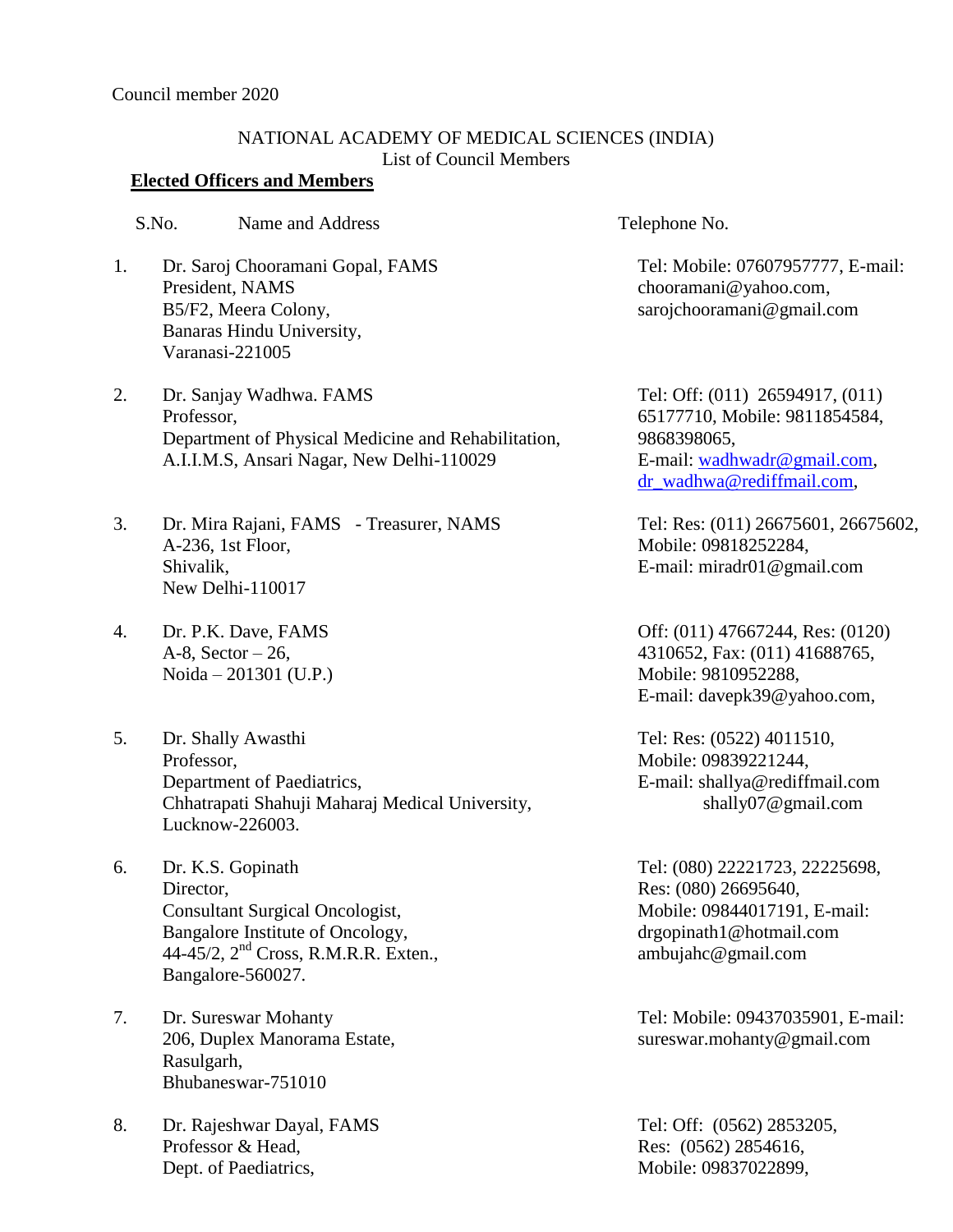## NATIONAL ACADEMY OF MEDICAL SCIENCES (INDIA) List of Council Members

## **Elected Officers and Members**

S.No. Name and Address Telephone No.

- 1. Dr. Saroj Chooramani Gopal, FAMS President, NAMS B5/F2, Meera Colony, Banaras Hindu University, Varanasi-221005
- 2. Dr. Sanjay Wadhwa. FAMS Professor, Department of Physical Medicine and Rehabilitation, A.I.I.M.S, Ansari Nagar, New Delhi-110029
- 3. Dr. Mira Rajani, FAMS Treasurer, NAMS A-236, 1st Floor, Shivalik, New Delhi-110017
- 4. Dr. P.K. Dave, FAMS A-8, Sector  $-26$ , Noida – 201301 (U.P.)
- 5. Dr. Shally Awasthi Professor, Department of Paediatrics, Chhatrapati Shahuji Maharaj Medical University, Lucknow-226003.
- 6. Dr. K.S. Gopinath Director, Consultant Surgical Oncologist, Bangalore Institute of Oncology, 44-45/2, 2<sup>nd</sup> Cross, R.M.R.R. Exten., Bangalore-560027.
- 7. Dr. Sureswar Mohanty 206, Duplex Manorama Estate, Rasulgarh, Bhubaneswar-751010
- 8. Dr. Rajeshwar Dayal, FAMS Professor & Head, Dept. of Paediatrics,

Tel: Mobile: 07607957777, E-mail: [chooramani@yahoo.com,](mailto:chooramani@yahoo.com) sarojchooramani@gmail.com

Tel: Off: (011) 26594917, (011) 65177710, Mobile: 9811854584, 9868398065, E-mail: [wadhwadr@gmail.com,](mailto:wadhwadr@gmail.com) [dr\\_wadhwa@rediffmail.com,](mailto:dr_wadhwa@rediffmail.com)

Tel: Res: (011) 26675601, 26675602, Mobile: 09818252284, E-mail: miradr01@gmail.com

Off: (011) 47667244, Res: (0120) 4310652, Fax: (011) 41688765, Mobile: 9810952288, E-mail: [davepk39@yahoo.com,](mailto:rocklandhospital@yahoo.co.in)

Tel: Res: (0522) 4011510, Mobile: 09839221244, E-mail: [shallya@rediffmail.com](mailto:shallya@rediffmail.com) shally07@gmail.com

Tel: (080) 22221723, 22225698, Res: (080) 26695640, Mobile: 09844017191, E-mail: [drgopinath1@hotmail.com](mailto:drgopinath1@hotmail.com) ambujahc@gmail.com

Tel: Mobile: 09437035901, E-mail: [sureswar.mohanty@gmail.com](mailto:sureswar.mohanty@gmail.com)

Tel: Off: (0562) 2853205, Res: (0562) 2854616, Mobile: 09837022899,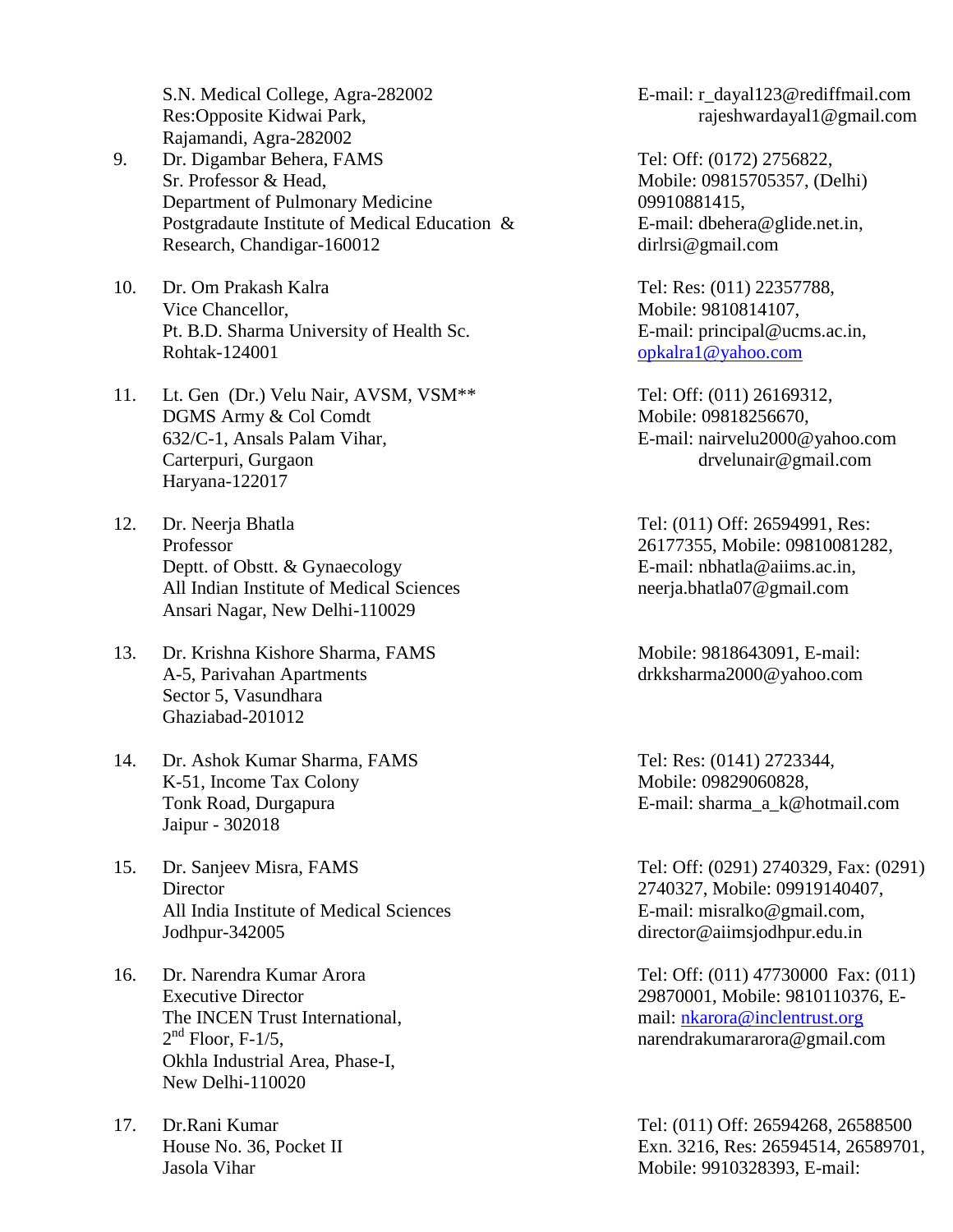S.N. Medical College, Agra-282002 Res:Opposite Kidwai Park, Rajamandi, Agra-282002

- 9. Dr. Digambar Behera, FAMS Sr. Professor & Head, Department of Pulmonary Medicine Postgradaute Institute of Medical Education & Research, Chandigar-160012
- 10. Dr. Om Prakash Kalra Vice Chancellor, Pt. B.D. Sharma University of Health Sc. Rohtak-124001
- 11. Lt. Gen (Dr.) Velu Nair, AVSM, VSM\*\* DGMS Army & Col Comdt 632/C-1, Ansals Palam Vihar, Carterpuri, Gurgaon Haryana-122017
- 12. Dr. Neerja Bhatla Professor Deptt. of Obstt. & Gynaecology All Indian Institute of Medical Sciences Ansari Nagar, New Delhi-110029
- 13. Dr. Krishna Kishore Sharma, FAMS A-5, Parivahan Apartments Sector 5, Vasundhara Ghaziabad-201012
- 14. Dr. Ashok Kumar Sharma, FAMS K-51, Income Tax Colony Tonk Road, Durgapura Jaipur - 302018
- 15. Dr. Sanjeev Misra, FAMS **Director** All India Institute of Medical Sciences Jodhpur-342005
- 16. Dr. Narendra Kumar Arora Executive Director The INCEN Trust International,  $2<sup>nd</sup>$  Floor, F-1/5, Okhla Industrial Area, Phase-I, New Delhi-110020
- 17. Dr.Rani Kumar House No. 36, Pocket II Jasola Vihar

E-mail: r\_dayal123@rediffmail.com rajeshwardayal1@gmail.com

Tel: Off: (0172) 2756822, Mobile: 09815705357, (Delhi) 09910881415, E-mail: [dbehera@glide.net.in,](mailto:dbehera@glide.net.in) dirlrsi@gmail.com

Tel: Res: (011) 22357788, Mobile: 9810814107, E-mail: [principal@ucms.ac.in,](mailto:principal@ucms.ac.in) [opkalra1@yahoo.com](mailto:opkalra1@yahoo.com)

Tel: Off: (011) 26169312, Mobile: 09818256670, E-mail: [nairvelu2000@yahoo.com](mailto:nairvelu2000@yahoo.com) drvelunair@gmail.com

Tel: (011) Off: 26594991, Res: 26177355, Mobile: 09810081282, E-mail: [nbhatla@aiims.ac.in,](mailto:nbhatla@aiims.ac.in) neerja.bhatla07@gmail.com

Mobile: 9818643091, E-mail: [drkksharma2000@yahoo.com](mailto:drkksharma2000@yahoo.com)

Tel: Res: (0141) 2723344, Mobile: 09829060828, E-mail: sharma\_a\_k@hotmail.com

Tel: Off: (0291) 2740329, Fax: (0291) 2740327, Mobile: 09919140407, E-mail: [misralko@gmail.com,](mailto:misralko@gmail.com,) director@aiimsjodhpur.edu.in

Tel: Off: (011) 47730000 Fax: (011) 29870001, Mobile: 9810110376, Email: nkarora@inclentrust.org narendrakumararora@gmail.com

Tel: (011) Off: 26594268, 26588500 Exn. 3216, Res: 26594514, 26589701, Mobile: 9910328393, E-mail: